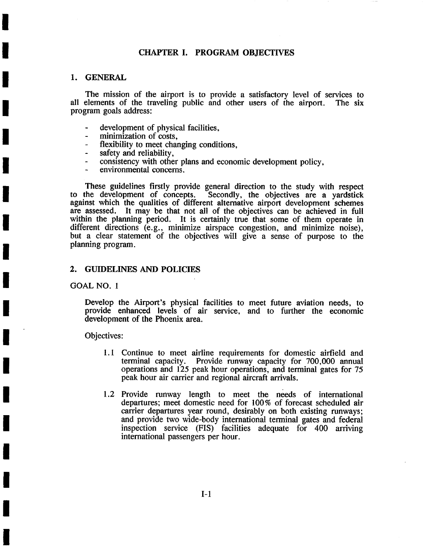# CHAPTER I. PROGRAM OBJECTIVES

### 1. GENERAL

**I** 

**!** 

**I** 

**I** 

**I** 

**!** 

**I** 

**!** 

**i** 

**!** 

**!** 

**I** 

**i** 

**I** 

**I** 

**I** 

**I** 

**I** 

The mission of the airport is to provide a satisfactory level of services to elements of the traveling public and other users of the airport. The six all elements of the traveling public and other users of the airport. program goals address:

- development of physical facilities,
- minimization of costs,
- $\overline{a}$ flexibility to meet changing conditions,
- safety and reliability,
- consistency with other plans and economic development policy,
- environmental concerns.

These guidelines firstly provide general direction to the study with respect to the development of concepts. Secondly, the objectives are a vardstick Secondly, the objectives are a vardstick against which the qualities of different alternative airport development schemes are assessed. It may be that not all of the objectives can be achieved in full within the planning period. It is certainly true that some of them operate in different directions (e.g., minimize airspace congestion, and minimize noise), but a clear statement of the objectives will give a sense of purpose to the planning program.

#### 2. GUIDELINES AND POLICIES

GOAL NO. 1

Develop the Airport's physical facilities to meet future aviation needs, to provide enhanced levels of air service, and to further the economic development of the Phoenix area.

- 1.1 Continue to meet airline requirements for domestic airfield and terminal capacity. Provide runway capacity for 700,000 annual operations and 125 peak hour operations, and terminal gates for 75 peak hour air carrier and regional aircraft arrivals.
- 1.2 Provide runway length to meet the needs of international departures; meet domestic need for 100% of forecast scheduled air carrier departures year round, desirably on both existing runways; and provide two wide-body international terminal gates and federal inspection service (FIS) facilities adequate for 400 arriving international passengers per hour.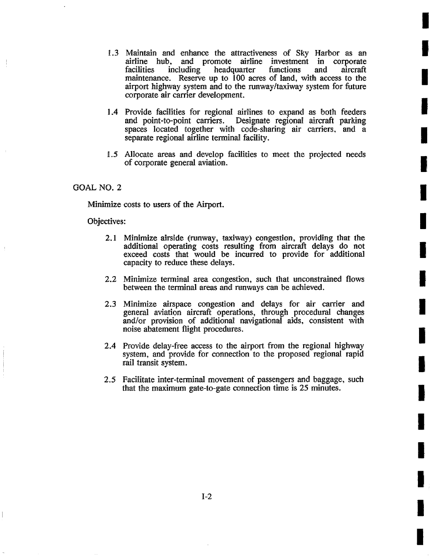1.3 Maintain and enhance the attractiveness of Sky Harbor as an airline hub, and promote airline investment in corporate headquarter maintenance. Reserve up to 100 acres of land, with access to the airport highway system and to the runway/taxiway system for future corporate air carrier development.

**I** 

**!** 

**I** 

**I** 

**I** 

**!** 

**I** 

**I** 

**i** 

**!** 

**!** 

**I** 

**!** 

**i** 

**i** 

**I** 

**I** 

**I** 

i

- 1.4 Provide facilities for regional airlines to expand as both feeders and point-to-point carriers. Designate regional aircraft parking spaces located together with code-sharing air carriers, and a separate regional airline terminal facility.
- 1.5 Allocate areas and develop facilities to meet the projected needs of corporate general aviation.

#### GOAL NO. 2

Minimize costs to users of the Airport.

- 2.1 Minimize airside (runway, taxiway) congestion, providing that the additional operating costs resulting from aircraft delays do not exceed costs that would be incurred to provide for additional capacity to reduce these delays.
- 2.2 Minimize terminal area congestion, such that unconstrained flows between the terminal areas and runways can be achieved.
- 2.3 Minimize airspace congestion and delays for air carrier and general aviation aircraft operations, through procedural changes and/or provision of additional navigational aids, consistent with noise abatement flight procedures.
- 2.4 Provide delay-free access to the airport from the regional highway system, and provide for connection to the proposed regional rapid rail transit system.
- 2.5 Facilitate inter-terminal movement of passengers and baggage, such that the maximum gate-to-gate connection time is 25 minutes.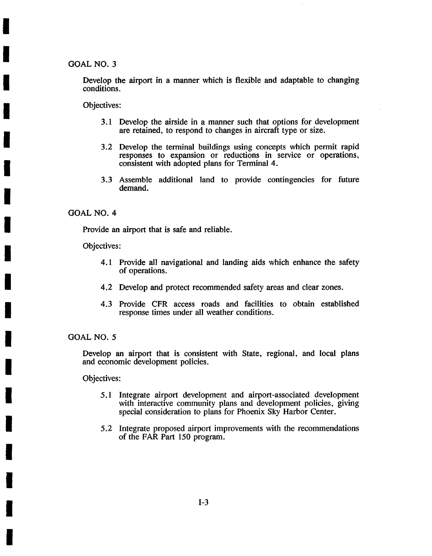GOAL NO. 3

**I** 

**I** 

**I** 

**I** 

**I** 

**I** 

**I** 

**I** 

**I** 

**I** 

**I** 

**I** 

**I** 

**I** 

**I** 

**I** 

**I** 

**I** 

Develop the airport in a manner which is flexible and adaptable to changing conditions.

Objectives:

- 3.1 Develop the airside in a manner such that options for development are retained, to respond to changes in aircraft type or size.
- 3.2 Develop the terminal buildings using concepts which permit rapid responses to expansion or reductions in service or operations, consistent with adopted plans for Terminal 4.
- 3.3 Assemble additional land to provide contingencies for future demand.

# GOAL NO. 4

Provide an airport that is safe and reliable.

Objectives:

- 4.1 Provide all navigational and landing aids which enhance the safety of operations.
- 4.2 Develop and protect recommended safety areas and clear zones.
- 4.3 Provide CFR access roads and facilities to obtain established response times under all weather conditions.

## GOAL NO. 5

Develop an airport that is consistent with State, regional, and local plans and economic development policies.

- 5.1 Integrate airport development and airport-associated development with interactive community plans and development policies, giving special consideration to plans for Phoenix Sky Harbor Center.
- 5.2 Integrate proposed airport improvements with the recommendations of the FAR Part 150 program.